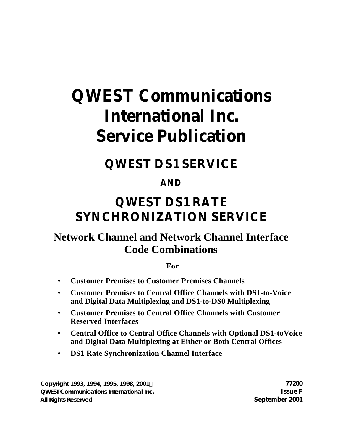# **QWEST Communications International Inc. Service Publication**

## **QWEST DS1 SERVICE**

## **AND**

## **QWEST DS1 RATE SYNCHRONIZATION SERVICE**

## **Network Channel and Network Channel Interface Code Combinations**

**For**

- **• Customer Premises to Customer Premises Channels**
- **• Customer Premises to Central Office Channels with DS1-to-Voice and Digital Data Multiplexing and DS1-to-DS0 Multiplexing**
- **• Customer Premises to Central Office Channels with Customer Reserved Interfaces**
- **• Central Office to Central Office Channels with Optional DS1-toVoice and Digital Data Multiplexing at Either or Both Central Offices**
- **• DS1 Rate Synchronization Channel Interface**

**Copyright 1993, 1994, 1995, 1998, 2001Ó 77200 QWEST Communications International Inc. Issue F All Rights Reserved September 2001**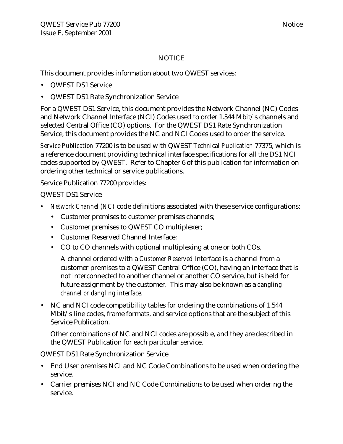#### NOTICE

This document provides information about two QWEST services:

- QWEST DS1 Service
- QWEST DS1 Rate Synchronization Service

For a QWEST DS1 Service, this document provides the Network Channel (NC) Codes and Network Channel Interface (NCI) Codes used to order 1.544 Mbit/s channels and selected Central Office (CO) options. For the QWEST DS1 Rate Synchronization Service, this document provides the NC and NCI Codes used to order the service.

*Service Publication* 77200 is to be used with QWEST *Technical Publication* 77375, which is a reference document providing technical interface specifications for all the DS1 NCI codes supported by QWEST. Refer to Chapter 6 of this publication for information on ordering other technical or service publications.

Service Publication 77200 provides:

#### QWEST DS1 Service

- *• Network Channel (NC)* code definitions associated with these service configurations:
	- Customer premises to customer premises channels;
	- Customer premises to QWEST CO multiplexer;
	- Customer Reserved Channel Interface;
	- CO to CO channels with optional multiplexing at one or both COs.

A channel ordered with a *Customer Reserved* Interface is a channel from a customer premises to a QWEST Central Office (CO), having an interface that is not interconnected to another channel or another CO service, but is held for future assignment by the customer. This may also be known as a *dangling channel or dangling interface*.

• NC and NCI code compatibility tables for ordering the combinations of 1.544 Mbit/s line codes, frame formats, and service options that are the subject of this Service Publication.

Other combinations of NC and NCI codes are possible, and they are described in the QWEST Publication for each particular service.

#### QWEST DS1 Rate Synchronization Service

- End User premises NCI and NC Code Combinations to be used when ordering the service.
- Carrier premises NCI and NC Code Combinations to be used when ordering the service.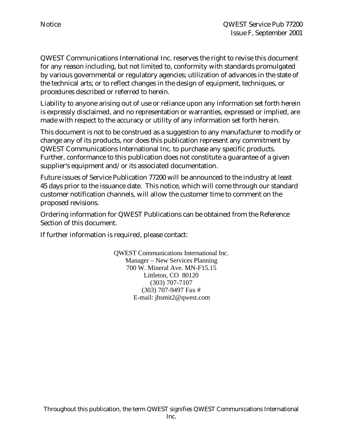QWEST Communications International Inc. reserves the right to revise this document for any reason including, but not limited to, conformity with standards promulgated by various governmental or regulatory agencies; utilization of advances in the state of the technical arts; or to reflect changes in the design of equipment, techniques, or procedures described or referred to herein.

Liability to anyone arising out of use or reliance upon any information set forth herein is expressly disclaimed, and no representation or warranties, expressed or implied, are made with respect to the accuracy or utility of any information set forth herein.

This document is not to be construed as a suggestion to any manufacturer to modify or change any of its products, nor does this publication represent any commitment by QWEST Communications International Inc. to purchase any specific products. Further, conformance to this publication does not constitute a guarantee of a given supplier's equipment and/or its associated documentation.

Future issues of Service Publication 77200 will be announced to the industry at least 45 days prior to the issuance date. This notice, which will come through our standard customer notification channels, will allow the customer time to comment on the proposed revisions.

Ordering information for QWEST Publications can be obtained from the Reference Section of this document.

If further information is required, please contact:

QWEST Communications International Inc. Manager – New Services Planning 700 W. Mineral Ave. MN-F15.15 Littleton, CO 80120 (303) 707-7107 (303) 707-9497 Fax # E-mail: jhsmit2@qwest.com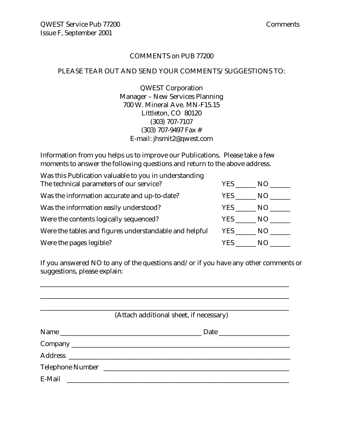#### COMMENTS on PUB 77200

#### PLEASE TEAR OUT AND SEND YOUR COMMENTS/SUGGESTIONS TO:

QWEST Corporation Manager – New Services Planning 700 W. Mineral Ave. MN-F15.15 Littleton, CO 80120 (303) 707-7107 (303) 707-9497 Fax # E-mail: jhsmit2@qwest.com

Information from you helps us to improve our Publications. Please take a few moments to answer the following questions and return to the above address.

| Was this Publication valuable to you in understanding  |            |      |
|--------------------------------------------------------|------------|------|
| The technical parameters of our service?               | <b>YES</b> | NO.  |
| Was the information accurate and up-to-date?           | YES        | NO.  |
| Was the information easily understood?                 | <b>YES</b> | NO.  |
| Were the contents logically sequenced?                 | YES        | NO . |
| Were the tables and figures understandable and helpful | YES NO     |      |
| Were the pages legible?                                | YES.       | N()  |

If you answered NO to any of the questions and/or if you have any other comments or suggestions, please explain:

\_\_\_\_\_\_\_\_\_\_\_\_\_\_\_\_\_\_\_\_\_\_\_\_\_\_\_\_\_\_\_\_\_\_\_\_\_\_\_\_\_\_\_\_\_\_\_\_\_\_\_\_\_\_\_\_\_\_\_\_\_\_\_\_\_\_\_\_\_\_\_\_\_\_

|        | (Attach additional sheet, if necessary) |
|--------|-----------------------------------------|
|        |                                         |
|        | Name                                    |
|        |                                         |
|        |                                         |
|        |                                         |
| E-Mail | <u> 1989 - Jan Barbarat, manala</u>     |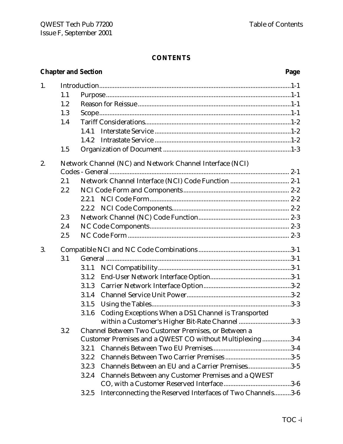### **CONTENTS**

### **Chapter and Section Page**

| 1. |     |       |                                                            |
|----|-----|-------|------------------------------------------------------------|
|    | 1.1 |       |                                                            |
|    | 1.2 |       |                                                            |
|    | 1.3 |       |                                                            |
|    | 1.4 |       |                                                            |
|    |     | 1.4.1 |                                                            |
|    |     | 1.4.2 |                                                            |
|    | 1.5 |       |                                                            |
| 2. |     |       | Network Channel (NC) and Network Channel Interface (NCI)   |
|    |     |       |                                                            |
|    | 2.1 |       |                                                            |
|    | 2.2 |       |                                                            |
|    |     | 2.2.1 |                                                            |
|    |     | 2.2.2 |                                                            |
|    | 2.3 |       |                                                            |
|    | 2.4 |       |                                                            |
|    | 2.5 |       |                                                            |
| 3. |     |       |                                                            |
|    | 3.1 |       |                                                            |
|    |     | 3.1.1 |                                                            |
|    |     | 3.1.2 |                                                            |
|    |     | 3.1.3 |                                                            |
|    |     | 3.1.4 |                                                            |
|    |     | 3.1.5 |                                                            |
|    |     | 3.1.6 | Coding Exceptions When a DS1 Channel is Transported        |
|    |     |       | within a Customer's Higher Bit-Rate Channel 3-3            |
|    | 3.2 |       | Channel Between Two Customer Premises, or Between a        |
|    |     |       | Customer Premises and a QWEST CO without Multiplexing3-4   |
|    |     | 3.2.1 |                                                            |
|    |     | 3.2.2 |                                                            |
|    |     | 3.2.3 | Channels Between an EU and a Carrier Premises3-5           |
|    |     | 3.2.4 | Channels Between any Customer Premises and a QWEST         |
|    |     |       |                                                            |
|    |     | 3.2.5 | Interconnecting the Reserved Interfaces of Two Channels3-6 |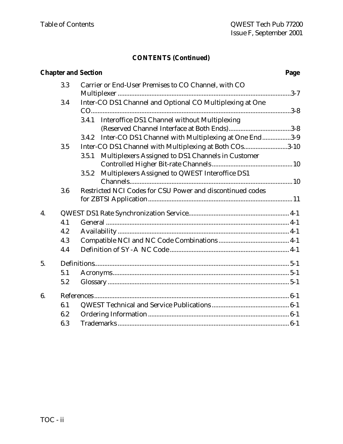### **CONTENTS (Continued)**

|    |     | <b>Chapter and Section</b>                                    | Page |
|----|-----|---------------------------------------------------------------|------|
|    | 3.3 | Carrier or End-User Premises to CO Channel, with CO           |      |
|    |     |                                                               |      |
|    | 3.4 | Inter-CO DS1 Channel and Optional CO Multiplexing at One      |      |
|    |     |                                                               |      |
|    |     | 3.4.1 Interoffice DS1 Channel without Multiplexing            |      |
|    |     |                                                               |      |
|    |     | Inter-CO DS1 Channel with Multiplexing at One End3-9<br>3.4.2 |      |
|    | 3.5 | Inter-CO DS1 Channel with Multiplexing at Both COs3-10        |      |
|    |     | Multiplexers Assigned to DS1 Channels in Customer<br>3.5.1    |      |
|    |     |                                                               |      |
|    |     | Multiplexers Assigned to QWEST Interoffice DS1<br>3.5.2       |      |
|    |     |                                                               |      |
|    | 3.6 | Restricted NCI Codes for CSU Power and discontinued codes     |      |
|    |     |                                                               |      |
| 4. |     |                                                               |      |
|    | 4.1 |                                                               |      |
|    | 4.2 |                                                               |      |
|    | 4.3 |                                                               |      |
|    | 4.4 |                                                               |      |
| 5. |     |                                                               |      |
|    | 5.1 |                                                               |      |
|    | 5.2 |                                                               |      |
| 6. |     |                                                               |      |
|    | 6.1 |                                                               |      |
|    | 6.2 |                                                               |      |
|    | 6.3 |                                                               |      |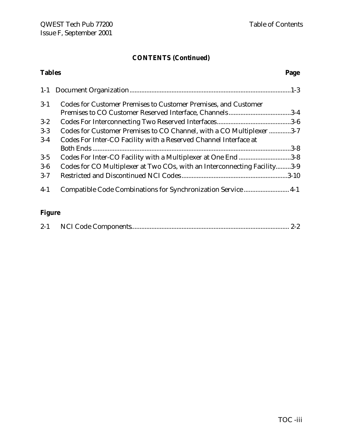## **CONTENTS (Continued)**

| <b>Tables</b> |                                                                          | Page |
|---------------|--------------------------------------------------------------------------|------|
|               |                                                                          |      |
| $3-1$         | <b>Codes for Customer Premises to Customer Premises, and Customer</b>    |      |
|               |                                                                          |      |
| $3 - 2$       |                                                                          |      |
| $3-3$         | Codes for Customer Premises to CO Channel, with a CO Multiplexer 3-7     |      |
| $3-4$         | Codes For Inter-CO Facility with a Reserved Channel Interface at         |      |
|               |                                                                          |      |
| $3-5$         | Codes For Inter-CO Facility with a Multiplexer at One End 3-8            |      |
| $3-6$         | Codes for CO Multiplexer at Two COs, with an Interconnecting Facility3-9 |      |
| $3 - 7$       |                                                                          |      |
| $4-1$         | Compatible Code Combinations for Synchronization Service  4-1            |      |

### **Figure**

|--|--|--|--|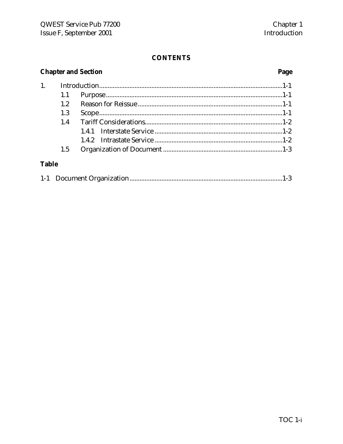### **CONTENTS**

### **Chapter and Section**

### Page

|              | 1.1 |  |
|--------------|-----|--|
|              | 12  |  |
|              | 1.3 |  |
|              | 1.4 |  |
|              |     |  |
|              |     |  |
|              | 1.5 |  |
| <b>Table</b> |     |  |

|--|--|--|--|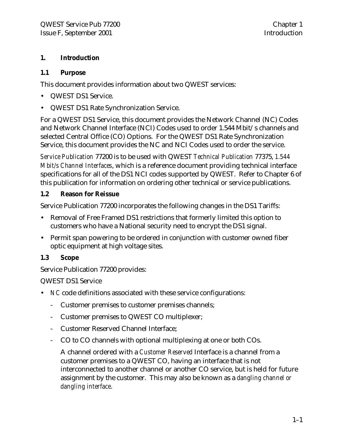#### **1. Introduction**

#### **1.1 Purpose**

This document provides information about two QWEST services:

- QWEST DS1 Service.
- QWEST DS1 Rate Synchronization Service.

For a QWEST DS1 Service, this document provides the Network Channel (NC) Codes and Network Channel Interface (NCI) Codes used to order 1.544 Mbit/s channels and selected Central Office (CO) Options. For the QWEST DS1 Rate Synchronization Service, this document provides the NC and NCI Codes used to order the service.

*Service Publication* 77200 is to be used with QWEST *Technical Publication* 77375, *1.544 Mbit/s Channel Interfaces*, which is a reference document providing technical interface specifications for all of the DS1 NCI codes supported by QWEST. Refer to Chapter 6 of this publication for information on ordering other technical or service publications.

#### **1.2 Reason for Reissue**

Service Publication 77200 incorporates the following changes in the DS1 Tariffs:

- Removal of Free Framed DS1 restrictions that formerly limited this option to customers who have a National security need to encrypt the DS1 signal.
- Permit span powering to be ordered in conjunction with customer owned fiber optic equipment at high voltage sites.

#### **1.3 Scope**

Service Publication 77200 provides:

#### QWEST DS1 Service

- *NC* code definitions associated with these service configurations:
	- Customer premises to customer premises channels;
	- Customer premises to QWEST CO multiplexer;
	- Customer Reserved Channel Interface;
	- CO to CO channels with optional multiplexing at one or both COs.

A channel ordered with a *Customer Reserved* Interface is a channel from a customer premises to a QWEST CO, having an interface that is not interconnected to another channel or another CO service, but is held for future assignment by the customer. This may also be known as a *dangling channel or dangling interface*.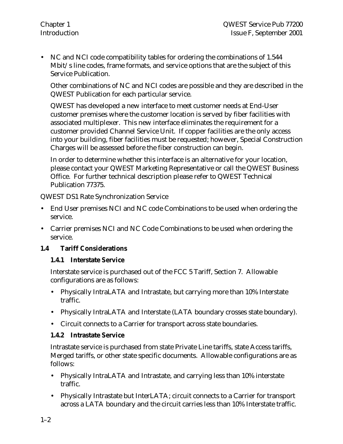• NC and NCI code compatibility tables for ordering the combinations of 1.544 Mbit/s line codes, frame formats, and service options that are the subject of this Service Publication.

Other combinations of NC and NCI codes are possible and they are described in the QWEST Publication for each particular service.

QWEST has developed a new interface to meet customer needs at End-User customer premises where the customer location is served by fiber facilities with associated multiplexer. This new interface eliminates the requirement for a customer provided Channel Service Unit. If copper facilities are the only access into your building, fiber facilities must be requested; however, Special Construction Charges will be assessed before the fiber construction can begin.

In order to determine whether this interface is an alternative for your location, please contact your QWEST Marketing Representative or call the QWEST Business Office. For further technical description please refer to QWEST Technical Publication 77375.

QWEST DS1 Rate Synchronization Service

- End User premises NCI and NC code Combinations to be used when ordering the service.
- Carrier premises NCI and NC Code Combinations to be used when ordering the service.

#### **1.4 Tariff Considerations**

#### **1.4.1 Interstate Service**

Interstate service is purchased out of the FCC 5 Tariff, Section 7. Allowable configurations are as follows:

- Physically IntraLATA and Intrastate, but carrying more than 10% Interstate traffic.
- Physically IntraLATA and Interstate (LATA boundary crosses state boundary).
- Circuit connects to a Carrier for transport across state boundaries.

#### **1.4.2 Intrastate Service**

Intrastate service is purchased from state Private Line tariffs, state Access tariffs, Merged tariffs, or other state specific documents. Allowable configurations are as follows:

- Physically IntraLATA and Intrastate, and carrying less than 10% interstate traffic.
- Physically Intrastate but InterLATA; circuit connects to a Carrier for transport across a LATA boundary and the circuit carries less than 10% Interstate traffic.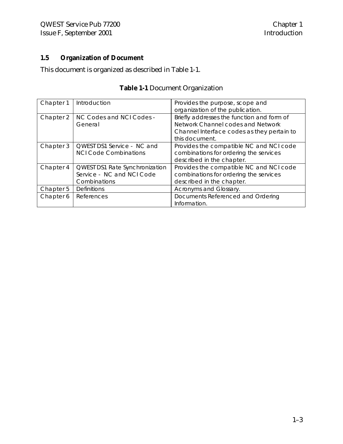#### **1.5 Organization of Document**

This document is organized as described in Table 1-1.

| Chapter 1 | Introduction                   | Provides the purpose, scope and            |
|-----------|--------------------------------|--------------------------------------------|
|           |                                |                                            |
|           |                                | organization of the publication.           |
| Chapter 2 | NC Codes and NCI Codes -       | Briefly addresses the function and form of |
|           | General                        | Network Channel codes and Network          |
|           |                                | Channel Interface codes as they pertain to |
|           |                                | this document.                             |
| Chapter 3 | QWEST DS1 Service - NC and     | Provides the compatible NC and NCI code    |
|           | <b>NCI Code Combinations</b>   | combinations for ordering the services     |
|           |                                | described in the chapter.                  |
| Chapter 4 | QWEST DS1 Rate Synchronization | Provides the compatible NC and NCI code    |
|           | Service - NC and NCI Code      | combinations for ordering the services     |
|           | Combinations                   | described in the chapter.                  |
| Chapter 5 | <b>Definitions</b>             | Acronyms and Glossary.                     |
| Chapter 6 | References                     | Documents Referenced and Ordering          |
|           |                                | Information.                               |

### **Table 1-1** Document Organization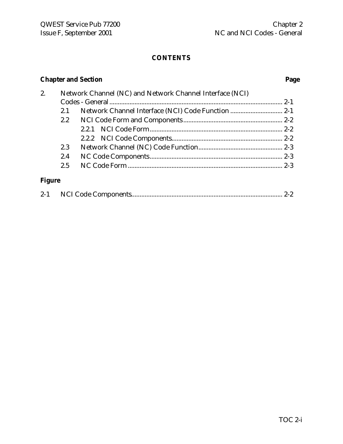### **CONTENTS**

### **Chapter and Section Page**

| 2.         |     | Network Channel (NC) and Network Channel Interface (NCI) |  |
|------------|-----|----------------------------------------------------------|--|
|            |     |                                                          |  |
|            |     |                                                          |  |
|            |     |                                                          |  |
|            |     |                                                          |  |
|            |     |                                                          |  |
|            | 2.3 |                                                          |  |
|            | 2.4 |                                                          |  |
|            |     |                                                          |  |
|            |     |                                                          |  |
| <b>TIO</b> |     |                                                          |  |

### **Figure**

| $2 - 1$ |  |  |  |
|---------|--|--|--|
|---------|--|--|--|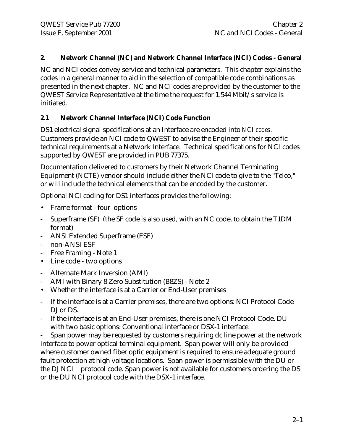#### **2. Network Channel (NC) and Network Channel Interface (NCI) Codes - General**

NC and NCI codes convey service and technical parameters. This chapter explains the codes in a general manner to aid in the selection of compatible code combinations as presented in the next chapter. NC and NCI codes are provided by the customer to the QWEST Service Representative at the time the request for 1.544 Mbit/s service is initiated.

#### **2.1 Network Channel Interface (NCI) Code Function**

DS1 electrical signal specifications at an Interface are encoded into *NCI codes*. Customers provide an NCI code to QWEST to advise the Engineer of their specific technical requirements at a Network Interface. Technical specifications for NCI codes supported by QWEST are provided in PUB 77375.

Documentation delivered to customers by their Network Channel Terminating Equipment (NCTE) vendor should include either the NCI code to give to the "Telco," or will include the technical elements that can be encoded by the customer.

Optional NCI coding for DS1 interfaces provides the following:

- Frame format four options
- Superframe (SF) (the SF code is also used, with an NC code, to obtain the T1DM format)
- ANSI Extended Superframe (ESF)
- non-ANSI ESF
- Free Framing Note 1
- Line code two options
- Alternate Mark Inversion (AMI)
- AMI with Binary 8 Zero Substitution (B8ZS) Note 2
- Whether the interface is at a Carrier or End-User premises
- If the interface is at a Carrier premises, there are two options: NCI Protocol Code DJ or DS.
- If the interface is at an End-User premises, there is one NCI Protocol Code. DU with two basic options: Conventional interface or DSX-1 interface.

- Span power may be requested by customers requiring dc line power at the network interface to power optical terminal equipment. Span power will only be provided where customer owned fiber optic equipment is required to ensure adequate ground fault protection at high voltage locations. Span power is permissible with the DU or the DJ NCI protocol code. Span power is not available for customers ordering the DS or the DU NCI protocol code with the DSX-1 interface.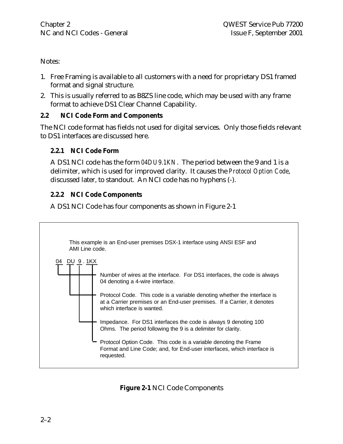Notes:

- 1. Free Framing is available to all customers with a need for proprietary DS1 framed format and signal structure.
- 2. This is usually referred to as B8ZS line code, which may be used with any frame format to achieve DS1 Clear Channel Capability.

#### **2.2 NCI Code Form and Components**

The NCI code format has fields not used for digital services. Only those fields relevant to DS1 interfaces are discussed here.

#### **2.2.1 NCI Code Form**

A DS1 NCI code has the form *04DU9.1KN*. The period between the 9 and 1 is a delimiter, which is used for improved clarity. It causes the *Protocol Option Code*, discussed later, to standout. An NCI code has no hyphens (-).

#### **2.2.2 NCI Code Components**

A DS1 NCI Code has four components as shown in Figure 2-1



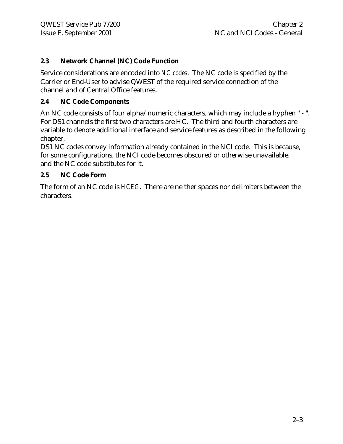#### **2.3 Network Channel (NC) Code Function**

Service considerations are encoded into *NC codes*. The NC code is specified by the Carrier or End-User to advise QWEST of the required service connection of the channel and of Central Office features.

#### **2.4 NC Code Components**

An NC code consists of four alpha/numeric characters, which may include a hyphen " - ". For DS1 channels the first two characters are HC. The third and fourth characters are variable to denote additional interface and service features as described in the following chapter.

DS1 NC codes convey information already contained in the NCI code. This is because, for some configurations, the NCI code becomes obscured or otherwise unavailable, and the NC code substitutes for it.

#### **2.5 NC Code Form**

The form of an NC code is *HCEG*. There are neither spaces nor delimiters between the characters.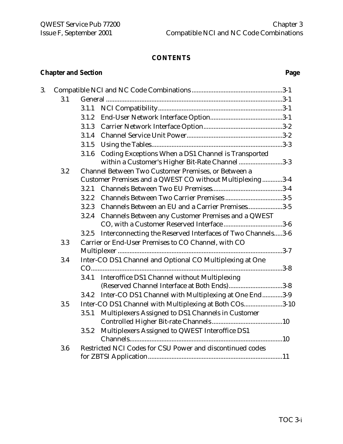### **CONTENTS**

### **Chapter and Section Page**

|     | 3.1.1                                                               |
|-----|---------------------------------------------------------------------|
|     | 3.1.2                                                               |
|     | 3.1.3                                                               |
|     | 3.1.4                                                               |
|     | 3.1.5                                                               |
|     | Coding Exceptions When a DS1 Channel is Transported<br>3.1.6        |
|     | within a Customer's Higher Bit-Rate Channel3-3                      |
| 3.2 | Channel Between Two Customer Premises, or Between a                 |
|     | Customer Premises and a QWEST CO without Multiplexing3-4            |
|     | 3.2.1                                                               |
|     | 3.2.2                                                               |
|     | Channels Between an EU and a Carrier Premises3-5<br>3.2.3           |
|     | Channels Between any Customer Premises and a QWEST<br>3.2.4         |
|     |                                                                     |
|     | Interconnecting the Reserved Interfaces of Two Channels3-6<br>3.2.5 |
| 3.3 | Carrier or End-User Premises to CO Channel, with CO                 |
|     |                                                                     |
| 3.4 | Inter-CO DS1 Channel and Optional CO Multiplexing at One            |
|     |                                                                     |
|     | Interoffice DS1 Channel without Multiplexing<br>3.4.1               |
|     | (Reserved Channel Interface at Both Ends)3-8                        |
|     | Inter-CO DS1 Channel with Multiplexing at One End3-9<br>3.4.2       |
| 3.5 | Inter-CO DS1 Channel with Multiplexing at Both COs3-10              |
|     | Multiplexers Assigned to DS1 Channels in Customer<br>3.5.1          |
|     |                                                                     |
|     | Multiplexers Assigned to QWEST Interoffice DS1<br>3.5.2             |
|     |                                                                     |
| 3.6 | Restricted NCI Codes for CSU Power and discontinued codes           |
|     |                                                                     |
|     | 3.1                                                                 |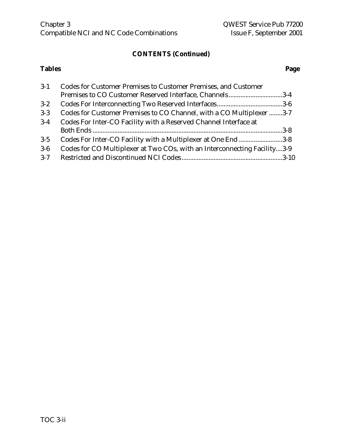## **CONTENTS (Continued)**

#### **Tables Page**

| $3-1$   | <b>Codes for Customer Premises to Customer Premises, and Customer</b>    |  |
|---------|--------------------------------------------------------------------------|--|
|         | Premises to CO Customer Reserved Interface, Channels3-4                  |  |
| $3 - 2$ |                                                                          |  |
| $3 - 3$ | Codes for Customer Premises to CO Channel, with a CO Multiplexer 3-7     |  |
| $3-4$   | Codes For Inter-CO Facility with a Reserved Channel Interface at         |  |
|         |                                                                          |  |
| $3-5$   | Codes For Inter-CO Facility with a Multiplexer at One End3-8             |  |
| $3-6$   | Codes for CO Multiplexer at Two COs, with an Interconnecting Facility3-9 |  |
| $3 - 7$ |                                                                          |  |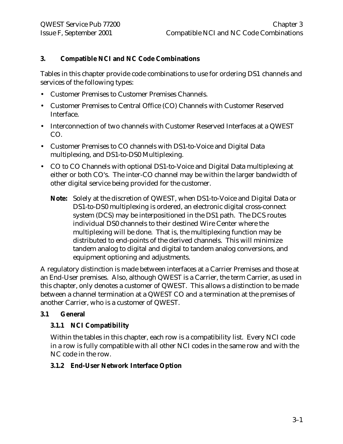#### **3. Compatible NCI and NC Code Combinations**

Tables in this chapter provide code combinations to use for ordering DS1 channels and services of the following types:

- Customer Premises to Customer Premises Channels.
- Customer Premises to Central Office (CO) Channels with Customer Reserved Interface.
- Interconnection of two channels with Customer Reserved Interfaces at a QWEST CO.
- Customer Premises to CO channels with DS1-to-Voice and Digital Data multiplexing, and DS1-to-DS0 Multiplexing.
- CO to CO Channels with optional DS1-to-Voice and Digital Data multiplexing at either or both CO's. The inter-CO channel may be within the larger bandwidth of other digital service being provided for the customer.
	- **Note:** Solely at the discretion of QWEST, when DS1-to-Voice and Digital Data or DS1-to-DS0 multiplexing is ordered, an electronic digital cross-connect system (DCS) may be interpositioned in the DS1 path. The DCS routes individual DS0 channels to their destined Wire Center where the multiplexing will be done. That is, the multiplexing function may be distributed to end-points of the derived channels. This will minimize tandem analog to digital and digital to tandem analog conversions, and equipment optioning and adjustments.

A regulatory distinction is made between interfaces at a Carrier Premises and those at an End-User premises. Also, although QWEST is a Carrier, the term Carrier, as used in this chapter, only denotes a customer of QWEST. This allows a distinction to be made between a channel termination at a QWEST CO and a termination at the premises of another Carrier, who is a customer of QWEST.

#### **3.1 General**

#### **3.1.1 NCI Compatibility**

Within the tables in this chapter, each row is a compatibility list. Every NCI code in a row is fully compatible with all other NCI codes in the same row and with the NC code in the row.

#### **3.1.2 End-User Network Interface Option**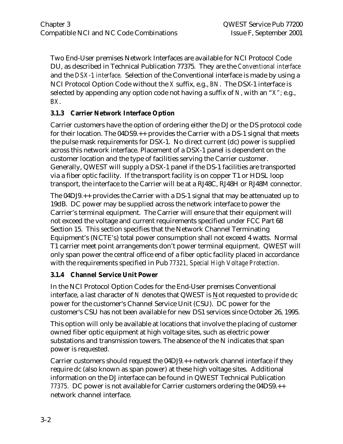Two End-User premises Network Interfaces are available for NCI Protocol Code DU, as described in Technical Publication 77375. They are the *Conventional interface* and the *DSX-1 interface*. Selection of the Conventional interface is made by using a NCI Protocol Option Code without the *X* suffix, e.g., *BN*. The DSX-1 interface is selected by appending any option code not having a suffix of *N*, with an "*X";* e.g., *BX*.

#### **3.1.3 Carrier Network Interface Option**

Carrier customers have the option of ordering either the DJ or the DS protocol code for their location. The 04DS9.++ provides the Carrier with a DS-1 signal that meets the pulse mask requirements for DSX-1. No direct current (dc) power is supplied across this network interface. Placement of a DSX-1 panel is dependent on the customer location and the type of facilities serving the Carrier customer. Generally, QWEST will supply a DSX-1 panel if the DS-1 facilities are transported via a fiber optic facility. If the transport facility is on copper T1 or HDSL loop transport, the interface to the Carrier will be at a RJ48C, RJ48H or RJ48M connector.

The 04DJ9.++ provides the Carrier with a DS-1 signal that may be attenuated up to 19dB. DC power may be supplied across the network interface to power the Carrier's terminal equipment. The Carrier will ensure that their equipment will not exceed the voltage and current requirements specified under FCC Part 68 Section 15. This section specifies that the Network Channel Terminating Equipment's (NCTE's) total power consumption shall not exceed 4 watts. Normal T1 carrier meet point arrangements don't power terminal equipment. QWEST will only span power the central office end of a fiber optic facility placed in accordance with the requirements specified in Pub *77321, Special High Voltage Protection.*

#### **3.1.4 Channel Service Unit Power**

In the NCI Protocol Option Codes for the End-User premises Conventional interface, a last character of *N* denotes that QWEST is Not requested to provide dc power for the customer's Channel Service Unit (CSU). DC power for the customer's CSU has not been available for new DS1 services since October 26, 1995.

This option will only be available at locations that involve the placing of customer owned fiber optic equipment at high voltage sites, such as electric power substations and transmission towers. The absence of the N indicates that span power is requested.

Carrier customers should request the 04DJ9.++ network channel interface if they require dc (also known as span power) at these high voltage sites. Additional information on the DJ interface can be found in QWEST Technical Publication *77375.* DC power is not available for Carrier customers ordering the 04DS9.++ network channel interface.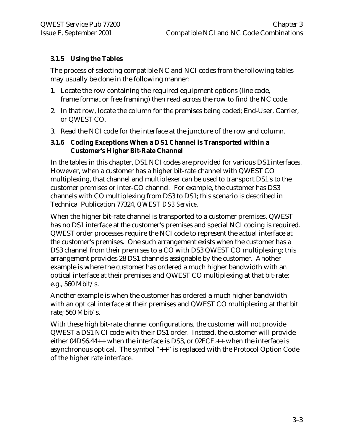#### **3.1.5 Using the Tables**

The process of selecting compatible NC and NCI codes from the following tables may usually be done in the following manner:

- 1. Locate the row containing the required equipment options (line code, frame format or free framing) then read across the row to find the NC code.
- 2. In that row, locate the column for the premises being coded; End-User, Carrier, or QWEST CO.
- 3. Read the NCI code for the interface at the juncture of the row and column.

#### **3.1.6 Coding Exceptions When a DS1 Channel is Transported within a Customer's Higher Bit-Rate Channel**

In the tables in this chapter, DS1 NCI codes are provided for various DS1 interfaces. However, when a customer has a higher bit-rate channel with QWEST CO multiplexing, that channel and multiplexer can be used to transport DS1's to the customer premises or inter-CO channel. For example, the customer has DS3 channels with CO multiplexing from DS3 to DS1; this scenario is described in Technical Publication 77324, *QWEST DS3 Service*.

When the higher bit-rate channel is transported to a customer premises, QWEST has no DS1 interface at the customer's premises and special NCI coding is required. QWEST order processes require the NCI code to represent the actual interface at the customer's premises. One such arrangement exists when the customer has a DS3 channel from their premises to a CO with DS3 QWEST CO multiplexing; this arrangement provides 28 DS1 channels assignable by the customer. Another example is where the customer has ordered a much higher bandwidth with an optical interface at their premises and QWEST CO multiplexing at that bit-rate; e.g., 560 Mbit/s.

Another example is when the customer has ordered a much higher bandwidth with an optical interface at their premises and QWEST CO multiplexing at that bit rate; 560 Mbit/s.

With these high bit-rate channel configurations, the customer will not provide QWEST a DS1 NCI code with their DS1 order. Instead, the customer will provide either 04DS6.44++ when the interface is DS3, or 02FCF.++ when the interface is asynchronous optical. The symbol "++" is replaced with the Protocol Option Code of the higher rate interface.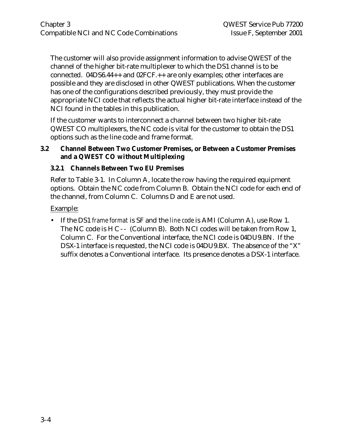The customer will also provide assignment information to advise QWEST of the channel of the higher bit-rate multiplexer to which the DS1 channel is to be connected. 04DS6.44++ and 02FCF.++ are only examples; other interfaces are possible and they are disclosed in other QWEST publications. When the customer has one of the configurations described previously, they must provide the appropriate NCI code that reflects the actual higher bit-rate interface instead of the NCI found in the tables in this publication.

If the customer wants to interconnect a channel between two higher bit-rate QWEST CO multiplexers, the NC code is vital for the customer to obtain the DS1 options such as the line code and frame format.

#### **3.2 Channel Between Two Customer Premises, or Between a Customer Premises and a QWEST CO without Multiplexing**

#### **3.2.1 Channels Between Two EU Premises**

Refer to Table 3-1. In Column A, locate the row having the required equipment options. Obtain the NC code from Column B. Obtain the NCI code for each end of the channel, from Column C. Columns D and E are not used.

Example:

• If the DS1 *frame format* is SF and the *line code* is AMI (Column A), use Row 1. The NC code is HC-- (Column B). Both NCI codes will be taken from Row 1, Column C. For the Conventional interface, the NCI code is 04DU9.BN. If the DSX-1 interface is requested, the NCI code is 04DU9.BX. The absence of the "X" suffix denotes a Conventional interface. Its presence denotes a DSX-1 interface.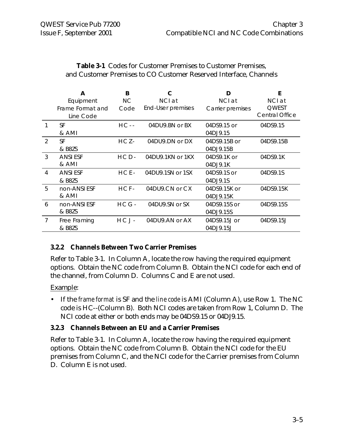|               | A                | B         |                   | D                | F                     |
|---------------|------------------|-----------|-------------------|------------------|-----------------------|
|               | Equipment        | NС        | NCI at            | NCI at           | NCI at                |
|               | Frame Format and | Code      | End-User premises | Carrier premises | <b>QWEST</b>          |
|               | Line Code        |           |                   |                  | <b>Central Office</b> |
|               | <b>SF</b>        | $HC -$    | 04DU9.BN or BX    | 04DS9.15 or      | 04DS9.15              |
|               | & AMI            |           |                   | 04DJ9.15         |                       |
| $\mathcal{P}$ | <b>SF</b>        | HCZ-      | 04DU9.DN or DX    | 04DS9.15B or     | 04DS9.15B             |
|               | & B8ZS           |           |                   | 04DJ9.15B        |                       |
| $\mathcal{S}$ | <b>ANSI ESF</b>  | $HCD-$    | 04DU9.1KN or 1KX  | 04DS9.1K or      | 04DS9.1K              |
|               | & AMI            |           |                   | 04DJ9.1K         |                       |
| 4             | <b>ANSI ESF</b>  | $HCE-$    | 04DU9.1SN or 1SX  | 04DS9.1S or      | 04DS9.1S              |
|               | & B8ZS           |           |                   | 04DJ9.1S         |                       |
| 5             | non-ANSI ESF     | $HCF-$    | 04DU9.CN or CX    | 04DS9.15K or     | 04DS9.15K             |
|               | & AMI            |           |                   | 04DJ9.15K        |                       |
| 6             | non-ANSI ESF     | $HCG-$    | 04DU9.SN or SX    | 04DS9.15S or     | 04DS9.15S             |
|               | & B8ZS           |           |                   | 04DJ9.15S        |                       |
| 7             | Free Framing     | $H C J -$ | 04DU9.AN or AX    | 04DS9.15J or     | 04DS9.15J             |
|               | & B8ZS           |           |                   | 04DJ9.15J        |                       |

#### **Table 3-1** Codes for Customer Premises to Customer Premises, and Customer Premises to CO Customer Reserved Interface, Channels

#### **3.2.2 Channels Between Two Carrier Premises**

Refer to Table 3-1. In Column A, locate the row having the required equipment options. Obtain the NC code from Column B. Obtain the NCI code for each end of the channel, from Column D. Columns C and E are not used.

Example:

• If the *frame format* is SF and the *line code* is AMI (Column A), use Row 1. The NC code is HC--(Column B). Both NCI codes are taken from Row 1, Column D. The NCI code at either or both ends may be 04DS9.15 or 04DJ9.15.

#### **3.2.3 Channels Between an EU and a Carrier Premises**

Refer to Table 3-1. In Column A, locate the row having the required equipment options. Obtain the NC code from Column B. Obtain the NCI code for the EU premises from Column C, and the NCI code for the Carrier premises from Column D. Column E is not used.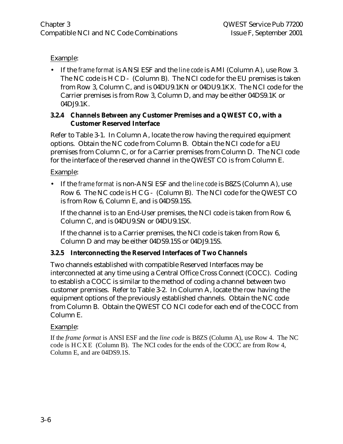#### Example:

• If the *frame format* is ANSI ESF and the *line code* is AMI (Column A), use Row 3. The NC code is HCD- (Column B). The NCI code for the EU premises is taken from Row 3, Column C, and is 04DU9.1KN or 04DU9.1KX. The NCI code for the Carrier premises is from Row 3, Column D, and may be either 04DS9.1K or 04DJ9.1K.

#### **3.2.4 Channels Between any Customer Premises and a QWEST CO, with a Customer Reserved Interface**

Refer to Table 3-1. In Column A, locate the row having the required equipment options. Obtain the NC code from Column B. Obtain the NCI code for a EU premises from Column C, or for a Carrier premises from Column D. The NCI code for the interface of the reserved channel in the QWEST CO is from Column E.

Example:

• If the *frame format* is non-ANSI ESF and the *line code* is B8ZS (Column A), use Row 6. The NC code is HCG- (Column B). The NCI code for the QWEST CO is from Row 6, Column E, and is 04DS9.15S.

If the channel is to an End-User premises, the NCI code is taken from Row 6, Column C, and is 04DU9.SN or 04DU9.1SX.

If the channel is to a Carrier premises, the NCI code is taken from Row 6, Column D and may be either 04DS9.15S or 04DJ9.15S.

#### **3.2.5 Interconnecting the Reserved Interfaces of Two Channels**

Two channels established with compatible Reserved Interfaces may be interconnected at any time using a Central Office Cross Connect (COCC). Coding to establish a COCC is similar to the method of coding a channel between two customer premises. Refer to Table 3-2. In Column A, locate the row having the equipment options of the previously established channels. Obtain the NC code from Column B. Obtain the QWEST CO NCI code for each end of the COCC from Column E.

#### Example:

If the *frame format* is ANSI ESF and the *line code* is B8ZS (Column A), use Row 4. The NC code is HCXE (Column B). The NCI codes for the ends of the COCC are from Row 4, Column E, and are 04DS9.1S.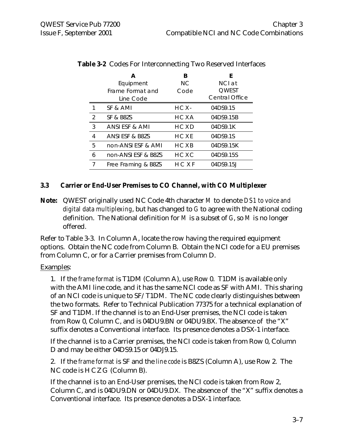|   | А<br>Equipment<br>Frame Format and<br>Line Code | B<br>NC.<br>Code | E<br>NCI at<br><b>OWEST</b><br><b>Central Office</b> |
|---|-------------------------------------------------|------------------|------------------------------------------------------|
|   | SF & AMI                                        | $HCX-$           | 04DS9.15                                             |
| 2 | SF & B8ZS                                       | HCXA             | 04DS9.15B                                            |
| 3 | ANSI ESF & AMI                                  | HCXD             | 04DS9.1K                                             |
| 4 | ANSI ESF & B8ZS                                 | HCXE             | 04DS9.1S                                             |
| 5 | non-ANSI ESF & AMI                              | HCXB             | 04DS9.15K                                            |
| 6 | non-ANSLESE & B87S                              | H C X C          | 04DS9.15S                                            |
| 7 | Free Framing & B8ZS                             | HCXF             | 04DS9.15J                                            |

#### **Table 3-2** Codes For Interconnecting Two Reserved Interfaces

#### **3.3 Carrier or End-User Premises to CO Channel, with CO Multiplexer**

**Note:** QWEST originally used NC Code 4th character *M* to denote *DS1 to voice and digital data multiplexing*, but has changed to *G* to agree with the National coding definition. The National definition for *M* is a subset of *G*, so *M* is no longer offered.

Refer to Table 3-3. In Column A, locate the row having the required equipment options. Obtain the NC code from Column B. Obtain the NCI code for a EU premises from Column C, or for a Carrier premises from Column D.

#### Examples:

1. If the *frame format* is T1DM (Column A), use Row 0. T1DM is available only with the AMI line code, and it has the same NCI code as SF with AMI. This sharing of an NCI code is unique to SF/T1DM. The NC code clearly distinguishes between the two formats. Refer to Technical Publication 77375 for a technical explanation of SF and T1DM. If the channel is to an End-User premises, the NCI code is taken from Row 0, Column C, and is 04DU9.BN or 04DU9.BX. The absence of the "X" suffix denotes a Conventional interface. Its presence denotes a DSX-1 interface.

If the channel is to a Carrier premises, the NCI code is taken from Row 0, Column D and may be either 04DS9.15 or 04DJ9.15.

2. If the *frame format* is SF and the *line code* is B8ZS (Column A), use Row 2. The NC code is HCZG (Column B).

If the channel is to an End-User premises, the NCI code is taken from Row 2, Column C, and is 04DU9.DN or 04DU9.DX. The absence of the "X" suffix denotes a Conventional interface. Its presence denotes a DSX-1 interface.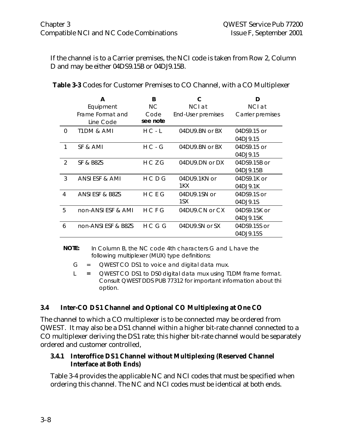If the channel is to a Carrier premises, the NCI code is taken from Row 2, Column D and may be either 04DS9.15B or 04DJ9.15B.

|               | А                     | B         | C                 | D                |
|---------------|-----------------------|-----------|-------------------|------------------|
|               | Equipment             | <b>NC</b> | NCI at            | NCI at           |
|               | Frame Format and      | Code      | End-User premises | Carrier premises |
|               | Line Code             | see note  |                   |                  |
| $\Omega$      | <b>T1DM &amp; AMI</b> | $H C - L$ | 04DU9.BN or BX    | 04DS9.15 or      |
|               |                       |           |                   | 04DJ9.15         |
| 1             | SF & AMI              | $H C - G$ | 04DU9.BN or BX    | 04DS9.15 or      |
|               |                       |           |                   | 04DJ9.15         |
| $\mathcal{P}$ | SF & B8ZS             | HCZG      | 04DU9.DN or DX    | 04DS9.15B or     |
|               |                       |           |                   | 04DJ9.15B        |
| 3             | ANSI ESF & AMI        | H C D G   | 04DU9.1KN or      | 04DS9.1K or      |
|               |                       |           | 1KX               | 04DJ9.1K         |
| 4             | ANSI ESF & B8ZS       | HCEG      | 04DU9.1SN or      | 04DS9.1S or      |
|               |                       |           | 1SX               | 04DJ9.1S         |
| 5             | non-ANSI ESF & AMI    | HCFG      | 04DU9.CN or CX    | 04DS9.15K or     |
|               |                       |           |                   | 04DJ9.15K        |
| 6             | non-ANSI ESF & B8ZS   | HCGG      | 04DU9.SN or SX    | 04DS9.15S or     |
|               |                       |           |                   | 04DJ9.15S        |

| <b>Table 3-3</b> Codes for Customer Premises to CO Channel, with a CO Multiplexer |  |
|-----------------------------------------------------------------------------------|--|
|-----------------------------------------------------------------------------------|--|

#### **NOTE:** In Column B, the NC code 4th characters G and L have the following multiplexer (MUX) type definitions:

- $G = QWEST CODS1$  to voice and digital data mux.
- L **=** QWEST CO DS1 to DS0 digital data mux using T1DM frame format. Consult QWEST DDS PUB 77312 for important information about this option.

#### **3.4 Inter-CO DS1 Channel and Optional CO Multiplexing at One CO**

The channel to which a CO multiplexer is to be connected may be ordered from QWEST. It may also be a DS1 channel within a higher bit-rate channel connected to a CO multiplexer deriving the DS1 rate; this higher bit-rate channel would be separately ordered and customer controlled,

#### **3.4.1 Interoffice DS1 Channel without Multiplexing (Reserved Channel Interface at Both Ends)**

Table 3-4 provides the applicable NC and NCI codes that must be specified when ordering this channel. The NC and NCI codes must be identical at both ends.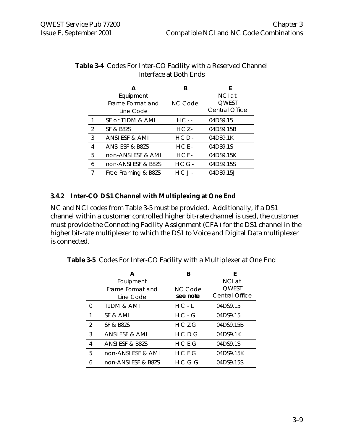|   | А                   | B         | F                     |
|---|---------------------|-----------|-----------------------|
|   | Equipment           |           | NCI at                |
|   | Frame Format and    | NC Code   | <b>QWEST</b>          |
|   | Line Code           |           | <b>Central Office</b> |
|   | SF or T1DM & AMI    | HC - -    | 04DS9.15              |
| 2 | SF & B8ZS           | $HCZ-$    | 04DS9.15B             |
| 3 | ANSI ESF & AMI      | $HCD-$    | 04DS9.1K              |
| 4 | ANSI ESF & B8ZS     | $HCE-$    | 04DS9.1S              |
| 5 | non-ANSI ESF & AMI  | $HCF-$    | 04DS9.15K             |
| 6 | non-ANSI ESF & B8ZS | $HCG -$   | 04DS9.15S             |
|   | Free Framing & B8ZS | $H C J -$ | 04DS9.15J             |
|   |                     |           |                       |

#### **Table 3-4** Codes For Inter-CO Facility with a Reserved Channel Interface at Both Ends

#### **3.4.2 Inter-CO DS1 Channel with Multiplexing at One End**

NC and NCI codes from Table 3-5 must be provided. Additionally, if a DS1 channel within a customer controlled higher bit-rate channel is used, the customer must provide the Connecting Facility Assignment (CFA) for the DS1 channel in the higher bit-rate multiplexer to which the DS1 to Voice and Digital Data multiplexer is connected.

**Table 3-5** Codes For Inter-CO Facility with a Multiplexer at One End

|   | А                                          | В                          | F                                               |
|---|--------------------------------------------|----------------------------|-------------------------------------------------|
|   | Equipment<br>Frame Format and<br>Line Code | <b>NC Code</b><br>see note | NCI at<br><b>OWEST</b><br><b>Central Office</b> |
|   | <b>T1DM &amp; AMI</b>                      | $H C - L$                  | 04DS9.15                                        |
| 1 | SF & AMI                                   | $H C - G$                  | 04DS9.15                                        |
| 2 | SF & B8ZS                                  | $H C$ 7 G                  | 04DS9.15B                                       |
| 3 | ANSI ESF & AMI                             | H C D G                    | 04DS9.1K                                        |
| 4 | ANSI ESF & B8ZS                            | HCEG                       | 04DS9.1S                                        |
| 5 | non-ANSI ESF & AMI                         | HCFG                       | 04DS9.15K                                       |
| 6 | non-ANSLESE & B87S                         | H C G G                    | 04DS9.15S                                       |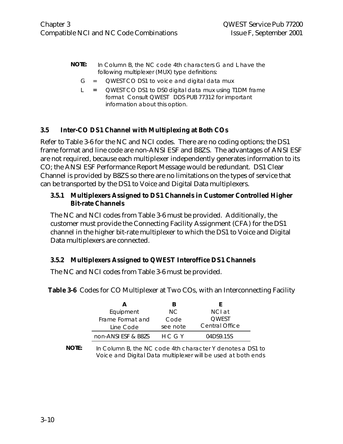- **NOTE:** In Column B, the NC code 4th characters G and L have the following multiplexer (MUX) type definitions:
	- $G = QWEST CODS1$  to voice and digital data mux
	- L **=** QWEST CO DS1 to DS0 digital data mux using T1DM frame format Consult QWEST DDS PUB 77312 for important information about this option.

#### **3.5 Inter-CO DS1 Channel with Multiplexing at Both COs**

Refer to Table 3-6 for the NC and NCI codes. There are no coding options; the DS1 frame format and line code are non-ANSI ESF and B8ZS. The advantages of ANSI ESF are not required, because each multiplexer independently generates information to its CO; the ANSI ESF Performance Report Message would be redundant. DS1 Clear Channel is provided by B8ZS so there are no limitations on the types of service that can be transported by the DS1 to Voice and Digital Data multiplexers.

#### **3.5.1 Multiplexers Assigned to DS1 Channels in Customer Controlled Higher Bit-rate Channels**

The NC and NCI codes from Table 3-6 must be provided. Additionally, the customer must provide the Connecting Facility Assignment (CFA) for the DS1 channel in the higher bit-rate multiplexer to which the DS1 to Voice and Digital Data multiplexers are connected.

#### **3.5.2 Multiplexers Assigned to QWEST Interoffice DS1 Channels**

The NC and NCI codes from Table 3-6 must be provided.

| R        |                |
|----------|----------------|
| NC.      | NCI at         |
| Code     | <b>OWEST</b>   |
| see note | Central Office |
| H C G Y  | 04DS9.15S      |
|          |                |

Table 3-6 Codes for CO Multiplexer at Two COs, with an Interconnecting Facility

**NOTE:** In Column B, the NC code 4th character Y denotes a DS1 to Voice and Digital Data multiplexer will be used at both ends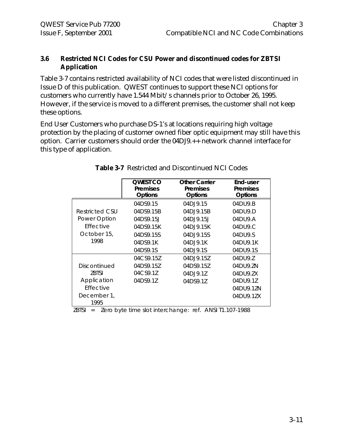#### **3.6 Restricted NCI Codes for CSU Power and discontinued codes for ZBTSI Application**

Table 3-7 contains restricted availability of NCI codes that were listed discontinued in Issue D of this publication. QWEST continues to support these NCI options for customers who currently have 1.544 Mbit/s channels prior to October 26, 1995. However, if the service is moved to a different premises, the customer shall not keep these options.

End User Customers who purchase DS-1's at locations requiring high voltage protection by the placing of customer owned fiber optic equipment may still have this option. Carrier customers should order the 04DJ9.++ network channel interface for this type of application.

|                     | <b>OWEST CO</b><br><b>Premises</b><br><b>Options</b> | <b>Other Carrier</b><br><b>Premises</b><br><b>Options</b> | End-user<br><b>Premises</b><br><b>Options</b> |
|---------------------|------------------------------------------------------|-----------------------------------------------------------|-----------------------------------------------|
|                     | 04DS9.15                                             | 04DJ9.15                                                  | 04DU9.B                                       |
| Restricted CSU      | 04DS9.15B                                            | 04D.J9.15B                                                | 04D119.D                                      |
| Power Option        | 04DS9.15J                                            | 04D.19.15                                                 | 04DU9.A                                       |
| <b>Fffective</b>    | 04DS9.15K                                            | 04DJ9.15K                                                 | 04DU9.C                                       |
| October 15,         | 04DS9.15S                                            | 04DJ9.15S                                                 | 04DU9.S                                       |
| 1998                | 04DS9.1K                                             | 04DJ9.1K                                                  | 04DU9.1K                                      |
|                     | 04DS9.1S                                             | 04DJ9.1S                                                  | 04DU9.1S                                      |
|                     | 04CS9.15Z                                            | 04D.19.157                                                | 04DU9.Z                                       |
| Discontinued        | 04DS9.157                                            | 04DS9.157                                                 | 04DU9.ZN                                      |
| <b>7BTSI</b>        | 04CS9.1Z                                             | 04DJ9.1Z                                                  | 04DU9.ZX                                      |
| Application         | 04DS9.1Z                                             | 04DS9.1Z                                                  | 04DU9.1Z                                      |
| Effective           |                                                      |                                                           | 04DU9.1ZN                                     |
| December 1,<br>1995 |                                                      |                                                           | 04DU9.1ZX                                     |

|  | <b>Table 3-7</b> Restricted and Discontinued NCI Codes |  |  |  |  |
|--|--------------------------------------------------------|--|--|--|--|
|--|--------------------------------------------------------|--|--|--|--|

ZBTSI = Zero byte time slot interchange: ref. ANSI T1.107-1988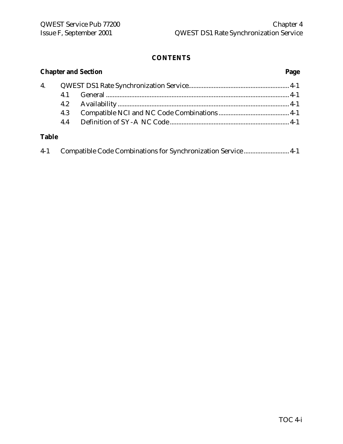#### **CONTENTS**

|              | <b>Chapter and Section</b> |                                                               |  |
|--------------|----------------------------|---------------------------------------------------------------|--|
| 4.           |                            |                                                               |  |
|              | 4.1                        |                                                               |  |
|              | 4.2                        |                                                               |  |
|              | 4.3                        |                                                               |  |
|              | 4.4                        |                                                               |  |
| <b>Table</b> |                            |                                                               |  |
| $4-1$        |                            | Compatible Code Combinations for Synchronization Service  4-1 |  |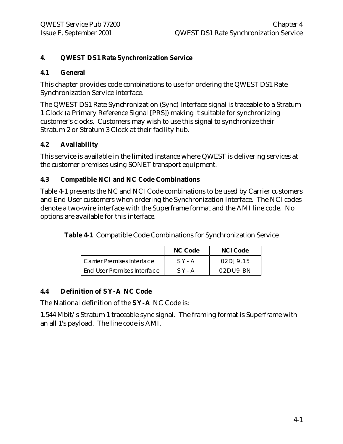#### **4. QWEST DS1 Rate Synchronization Service**

#### **4.1 General**

This chapter provides code combinations to use for ordering the QWEST DS1 Rate Synchronization Service interface.

The QWEST DS1 Rate Synchronization (Sync) Interface signal is traceable to a Stratum 1 Clock (a Primary Reference Signal [PRS]) making it suitable for synchronizing customer's clocks. Customers may wish to use this signal to synchronize their Stratum 2 or Stratum 3 Clock at their facility hub.

#### **4.2 Availability**

This service is available in the limited instance where QWEST is delivering services at the customer premises using SONET transport equipment.

#### **4.3 Compatible NCI and NC Code Combinations**

Table 4-1 presents the NC and NCI Code combinations to be used by Carrier customers and End User customers when ordering the Synchronization Interface. The NCI codes denote a two-wire interface with the Superframe format and the AMI line code. No options are available for this interface.

**Table 4-1** Compatible Code Combinations for Synchronization Service

|                                    | NC Code  | NCI Code                  |
|------------------------------------|----------|---------------------------|
| Carrier Premises Interface         | $SY - A$ | 02D1915                   |
| <b>End User Premises Interface</b> | $SY - A$ | $02$ DU9 $\overline{B}$ N |

#### **4.4 Definition of SY-A NC Code**

The National definition of the **SY-A** NC Code is:

1.544 Mbit/s Stratum 1 traceable sync signal. The framing format is Superframe with an all 1's payload. The line code is AMI.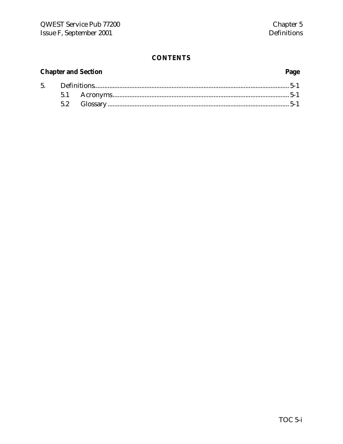### **CONTENTS**

### **Chapter and Section**

### Page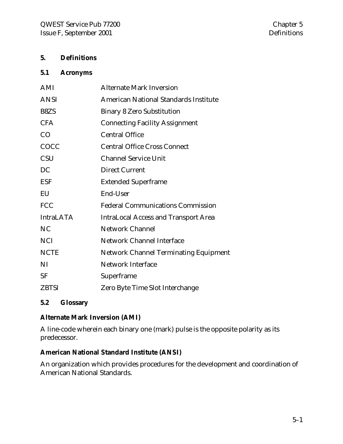#### **5. Definitions**

#### **5.1 Acronyms**

| AMI              | <b>Alternate Mark Inversion</b>              |
|------------------|----------------------------------------------|
| <b>ANSI</b>      | American National Standards Institute        |
| B8ZS             | <b>Binary 8 Zero Substitution</b>            |
| <b>CFA</b>       | <b>Connecting Facility Assignment</b>        |
| CO               | <b>Central Office</b>                        |
| COCC             | <b>Central Office Cross Connect</b>          |
| <b>CSU</b>       | <b>Channel Service Unit</b>                  |
| DC               | <b>Direct Current</b>                        |
| <b>ESF</b>       | <b>Extended Superframe</b>                   |
| EU               | End-User                                     |
| <b>FCC</b>       | <b>Federal Communications Commission</b>     |
| <b>IntraLATA</b> | <b>IntraLocal Access and Transport Area</b>  |
| N <sub>C</sub>   | <b>Network Channel</b>                       |
| <b>NCI</b>       | <b>Network Channel Interface</b>             |
| <b>NCTE</b>      | <b>Network Channel Terminating Equipment</b> |
| NI               | <b>Network Interface</b>                     |
| <b>SF</b>        | Superframe                                   |
| <b>ZBTSI</b>     | Zero Byte Time Slot Interchange              |
|                  |                                              |

#### **5.2 Glossary**

#### **Alternate Mark Inversion (AMI)**

A line-code wherein each binary one (mark) pulse is the opposite polarity as its predecessor.

#### **American National Standard Institute (ANSI)**

An organization which provides procedures for the development and coordination of American National Standards.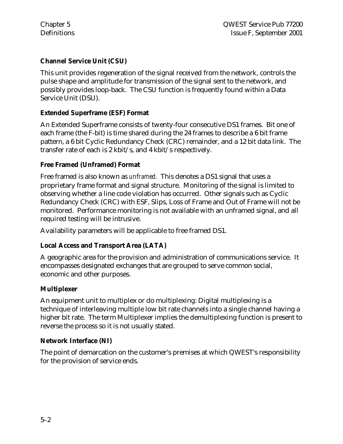#### **Channel Service Unit (CSU)**

This unit provides regeneration of the signal received from the network, controls the pulse shape and amplitude for transmission of the signal sent to the network, and possibly provides loop-back. The CSU function is frequently found within a Data Service Unit (DSU).

#### **Extended Superframe (ESF) Format**

An Extended Superframe consists of twenty-four consecutive DS1 frames. Bit one of each frame (the F-bit) is time shared during the 24 frames to describe a 6 bit frame pattern, a 6 bit Cyclic Redundancy Check (CRC) remainder, and a 12 bit data link. The transfer rate of each is 2 kbit/s, and 4 kbit/s respectively.

#### **Free Framed (Unframed) Format**

Free framed is also known as *unframed.* This denotes a DS1 signal that uses a proprietary frame format and signal structure. Monitoring of the signal is limited to observing whether a line code violation has occurred. Other signals such as Cyclic Redundancy Check (CRC) with ESF, Slips, Loss of Frame and Out of Frame will not be monitored. Performance monitoring is not available with an unframed signal, and all required testing will be intrusive.

Availability parameters will be applicable to free framed DS1.

#### **Local Access and Transport Area (LATA)**

A geographic area for the provision and administration of communications service. It encompasses designated exchanges that are grouped to serve common social, economic and other purposes.

#### **Multiplexer**

An equipment unit to multiplex or do multiplexing: Digital multiplexing is a technique of interleaving multiple low bit rate channels into a single channel having a higher bit rate. The term Multiplexer implies the demultiplexing function is present to reverse the process so it is not usually stated.

#### **Network Interface (NI)**

The point of demarcation on the customer's premises at which QWEST's responsibility for the provision of service ends.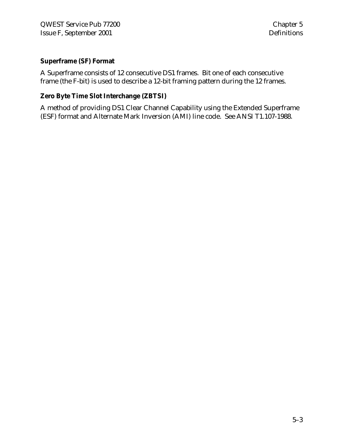#### **Superframe (SF) Format**

A Superframe consists of 12 consecutive DS1 frames. Bit one of each consecutive frame (the F-bit) is used to describe a 12-bit framing pattern during the 12 frames.

#### **Zero Byte Time Slot Interchange (ZBTSI)**

A method of providing DS1 Clear Channel Capability using the Extended Superframe (ESF) format and Alternate Mark Inversion (AMI) line code. See ANSI T1.107-1988.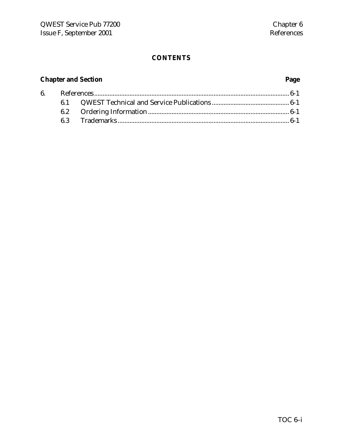### **CONTENTS**

## **Chapter and Section Page**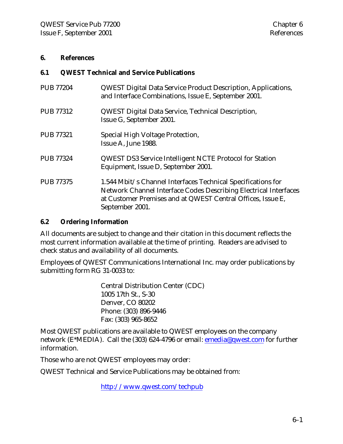#### **6. References**

#### **6.1 QWEST Technical and Service Publications**

| <b>PUB 77204</b> | <b>QWEST Digital Data Service Product Description, Applications,</b><br>and Interface Combinations, Issue E, September 2001.                                                                                       |
|------------------|--------------------------------------------------------------------------------------------------------------------------------------------------------------------------------------------------------------------|
| <b>PUB 77312</b> | <b>QWEST Digital Data Service, Technical Description,</b><br>Issue G, September 2001.                                                                                                                              |
| <b>PUB 77321</b> | Special High Voltage Protection,<br>Issue A, June 1988.                                                                                                                                                            |
| <b>PUB 77324</b> | <b>QWEST DS3 Service Intelligent NCTE Protocol for Station</b><br>Equipment, Issue D, September 2001.                                                                                                              |
| <b>PUB 77375</b> | 1.544 Mbit/s Channel Interfaces Technical Specifications for<br>Network Channel Interface Codes Describing Electrical Interfaces<br>at Customer Premises and at QWEST Central Offices, Issue E,<br>September 2001. |

#### **6.2 Ordering Information**

All documents are subject to change and their citation in this document reflects the most current information available at the time of printing. Readers are advised to check status and availability of all documents.

Employees of QWEST Communications International Inc. may order publications by submitting form RG 31-0033 to:

> Central Distribution Center (CDC) 1005 17th St., S-30 Denver, CO 80202 Phone: (303) 896-9446 Fax: (303) 965-8652

Most QWEST publications are available to QWEST employees on the company network (E\*MEDIA). Call the (303) 624-4796 or email: emedia@qwest.com for further information.

Those who are not QWEST employees may order:

QWEST Technical and Service Publications may be obtained from:

http://www.qwest.com/techpub